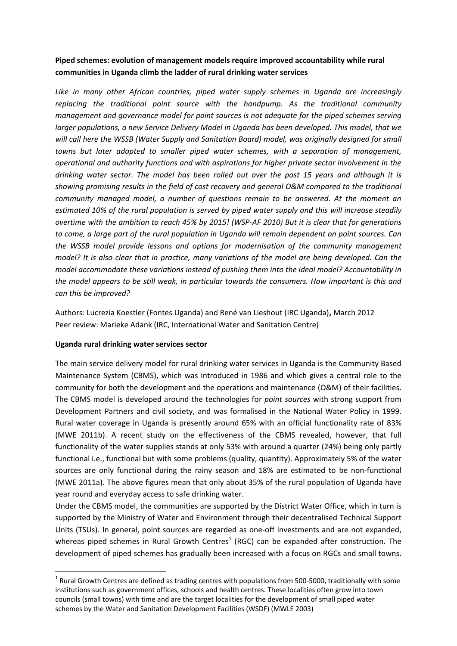# **Piped schemes: evolution of management models require improved accountability while rural communities in Uganda climb the ladder of rural drinking water services**

*Like in many other African countries, piped water supply schemes in Uganda are increasingly replacing the traditional point source with the handpump. As the traditional community management and governance model for point sources is not adequate for the piped schemes serving larger populations, a new Service Delivery Model in Uganda has been developed. This model, that we will call here the WSSB (Water Supply and Sanitation Board) model, was originally designed for small towns but later adapted to smaller piped water schemes, with a separation of management, operational and authority functions and with aspirations for higher private sector involvement in the drinking water sector. The model has been rolled out over the past 15 years and although it is showing promising results in the field of cost recovery and general O&M compared to the traditional community managed model, a number of questions remain to be answered. At the moment an estimated 10% of the rural population is served by piped water supply and this will increase steadily overtime with the ambition to reach 45% by 2015! (WSP-AF 2010) But it is clear that for generations to come, a large part of the rural population in Uganda will remain dependent on point sources. Can the WSSB model provide lessons and options for modernisation of the community management model? It is also clear that in practice, many variations of the model are being developed. Can the model accommodate these variations instead of pushing them into the ideal model? Accountability in the model appears to be still weak, in particular towards the consumers. How important is this and can this be improved?*

Authors: Lucrezia Koestler (Fontes Uganda) and René van Lieshout (IRC Uganda)**,** March 2012 Peer review: Marieke Adank (IRC, International Water and Sanitation Centre)

## **Uganda rural drinking water services sector**

**.** 

The main service delivery model for rural drinking water services in Uganda is the Community Based Maintenance System (CBMS), which was introduced in 1986 and which gives a central role to the community for both the development and the operations and maintenance (O&M) of their facilities. The CBMS model is developed around the technologies for *point sources* with strong support from Development Partners and civil society, and was formalised in the National Water Policy in 1999. Rural water coverage in Uganda is presently around 65% with an official functionality rate of 83% (MWE 2011b). A recent study on the effectiveness of the CBMS revealed, however, that full functionality of the water supplies stands at only 53% with around a quarter (24%) being only partly functional i.e., functional but with some problems (quality, quantity). Approximately 5% of the water sources are only functional during the rainy season and 18% are estimated to be non-functional (MWE 2011a). The above figures mean that only about 35% of the rural population of Uganda have year round and everyday access to safe drinking water.

Under the CBMS model, the communities are supported by the District Water Office, which in turn is supported by the Ministry of Water and Environment through their decentralised Technical Support Units (TSUs). In general, point sources are regarded as one-off investments and are not expanded, whereas piped schemes in Rural Growth Centres<sup>1</sup> (RGC) can be expanded after construction. The development of piped schemes has gradually been increased with a focus on RGCs and small towns.

 $1$  Rural Growth Centres are defined as trading centres with populations from 500-5000, traditionally with some institutions such as government offices, schools and health centres. These localities often grow into town councils (small towns) with time and are the target localities for the development of small piped water schemes by the Water and Sanitation Development Facilities (WSDF) (MWLE 2003)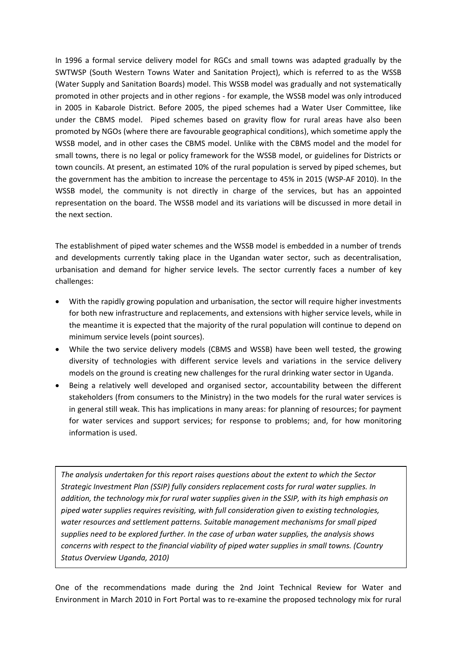In 1996 a formal service delivery model for RGCs and small towns was adapted gradually by the SWTWSP (South Western Towns Water and Sanitation Project), which is referred to as the WSSB (Water Supply and Sanitation Boards) model. This WSSB model was gradually and not systematically promoted in other projects and in other regions - for example, the WSSB model was only introduced in 2005 in Kabarole District. Before 2005, the piped schemes had a Water User Committee, like under the CBMS model. Piped schemes based on gravity flow for rural areas have also been promoted by NGOs (where there are favourable geographical conditions), which sometime apply the WSSB model, and in other cases the CBMS model. Unlike with the CBMS model and the model for small towns, there is no legal or policy framework for the WSSB model, or guidelines for Districts or town councils. At present, an estimated 10% of the rural population is served by piped schemes, but the government has the ambition to increase the percentage to 45% in 2015 (WSP-AF 2010). In the WSSB model, the community is not directly in charge of the services, but has an appointed representation on the board. The WSSB model and its variations will be discussed in more detail in the next section.

The establishment of piped water schemes and the WSSB model is embedded in a number of trends and developments currently taking place in the Ugandan water sector, such as decentralisation, urbanisation and demand for higher service levels. The sector currently faces a number of key challenges:

- With the rapidly growing population and urbanisation, the sector will require higher investments for both new infrastructure and replacements, and extensions with higher service levels, while in the meantime it is expected that the majority of the rural population will continue to depend on minimum service levels (point sources).
- While the two service delivery models (CBMS and WSSB) have been well tested, the growing diversity of technologies with different service levels and variations in the service delivery models on the ground is creating new challenges for the rural drinking water sector in Uganda.
- Being a relatively well developed and organised sector, accountability between the different stakeholders (from consumers to the Ministry) in the two models for the rural water services is in general still weak. This has implications in many areas: for planning of resources; for payment for water services and support services; for response to problems; and, for how monitoring information is used.

*The analysis undertaken for this report raises questions about the extent to which the Sector Strategic Investment Plan (SSIP) fully considers replacement costs for rural water supplies. In addition, the technology mix for rural water supplies given in the SSIP, with its high emphasis on piped water supplies requires revisiting, with full consideration given to existing technologies, water resources and settlement patterns. Suitable management mechanisms for small piped supplies need to be explored further. In the case of urban water supplies, the analysis shows concerns with respect to the financial viability of piped water supplies in small towns. (Country Status Overview Uganda, 2010)*

One of the recommendations made during the 2nd Joint Technical Review for Water and Environment in March 2010 in Fort Portal was to re-examine the proposed technology mix for rural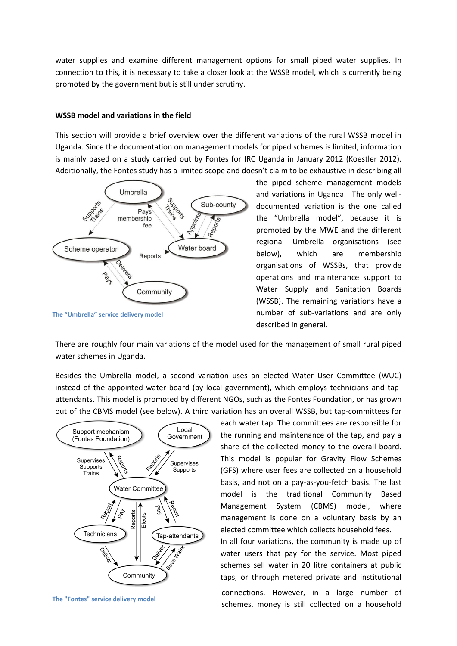water supplies and examine different management options for small piped water supplies. In connection to this, it is necessary to take a closer look at the WSSB model, which is currently being promoted by the government but is still under scrutiny.

#### **WSSB model and variations in the field**

This section will provide a brief overview over the different variations of the rural WSSB model in Uganda. Since the documentation on management models for piped schemes is limited, information is mainly based on a study carried out by Fontes for IRC Uganda in January 2012 (Koestler 2012). Additionally, the Fontes study has a limited scope and doesn't claim to be exhaustive in describing all



**The "Umbrella" service delivery model**

the piped scheme management models and variations in Uganda. The only welldocumented variation is the one called the "Umbrella model", because it is promoted by the MWE and the different regional Umbrella organisations (see below), which are membership organisations of WSSBs, that provide operations and maintenance support to Water Supply and Sanitation Boards (WSSB). The remaining variations have a number of sub-variations and are only described in general.

There are roughly four main variations of the model used for the management of small rural piped water schemes in Uganda.

Besides the Umbrella model, a second variation uses an elected Water User Committee (WUC) instead of the appointed water board (by local government), which employs technicians and tapattendants. This model is promoted by different NGOs, such as the Fontes Foundation, or has grown out of the CBMS model (see below). A third variation has an overall WSSB, but tap-committees for



**The "Fontes" service delivery model**

each water tap. The committees are responsible for the running and maintenance of the tap, and pay a share of the collected money to the overall board. This model is popular for Gravity Flow Schemes (GFS) where user fees are collected on a household basis, and not on a pay-as-you-fetch basis. The last model is the traditional Community Based Management System (CBMS) model, where management is done on a voluntary basis by an elected committee which collects household fees.

In all four variations, the community is made up of water users that pay for the service. Most piped schemes sell water in 20 litre containers at public taps, or through metered private and institutional

connections. However, in a large number of schemes, money is still collected on a household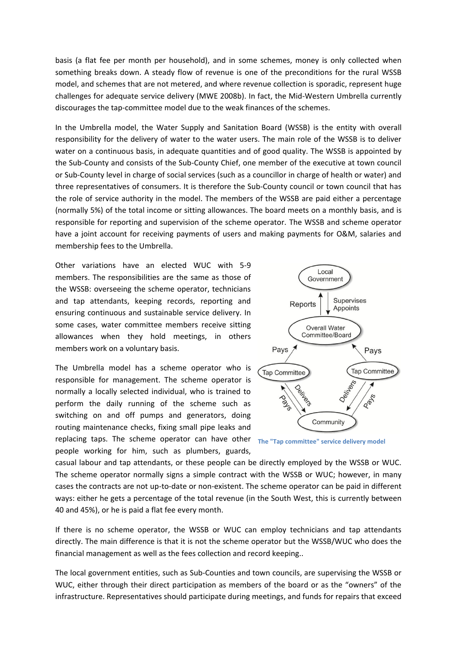basis (a flat fee per month per household), and in some schemes, money is only collected when something breaks down. A steady flow of revenue is one of the preconditions for the rural WSSB model, and schemes that are not metered, and where revenue collection is sporadic, represent huge challenges for adequate service delivery (MWE 2008b). In fact, the Mid-Western Umbrella currently discourages the tap-committee model due to the weak finances of the schemes.

In the Umbrella model, the Water Supply and Sanitation Board (WSSB) is the entity with overall responsibility for the delivery of water to the water users. The main role of the WSSB is to deliver water on a continuous basis, in adequate quantities and of good quality. The WSSB is appointed by the Sub-County and consists of the Sub-County Chief, one member of the executive at town council or Sub-County level in charge of social services (such as a councillor in charge of health or water) and three representatives of consumers. It is therefore the Sub-County council or town council that has the role of service authority in the model. The members of the WSSB are paid either a percentage (normally 5%) of the total income or sitting allowances. The board meets on a monthly basis, and is responsible for reporting and supervision of the scheme operator. The WSSB and scheme operator have a joint account for receiving payments of users and making payments for O&M, salaries and membership fees to the Umbrella.

Other variations have an elected WUC with 5-9 members. The responsibilities are the same as those of the WSSB: overseeing the scheme operator, technicians and tap attendants, keeping records, reporting and ensuring continuous and sustainable service delivery. In some cases, water committee members receive sitting allowances when they hold meetings, in others members work on a voluntary basis.

The Umbrella model has a scheme operator who is responsible for management. The scheme operator is normally a locally selected individual, who is trained to perform the daily running of the scheme such as switching on and off pumps and generators, doing routing maintenance checks, fixing small pipe leaks and replacing taps. The scheme operator can have other **The "Tap committee" service delivery model**people working for him, such as plumbers, guards,



casual labour and tap attendants, or these people can be directly employed by the WSSB or WUC. The scheme operator normally signs a simple contract with the WSSB or WUC; however, in many cases the contracts are not up-to-date or non-existent. The scheme operator can be paid in different ways: either he gets a percentage of the total revenue (in the South West, this is currently between 40 and 45%), or he is paid a flat fee every month.

If there is no scheme operator, the WSSB or WUC can employ technicians and tap attendants directly. The main difference is that it is not the scheme operator but the WSSB/WUC who does the financial management as well as the fees collection and record keeping..

The local government entities, such as Sub-Counties and town councils, are supervising the WSSB or WUC, either through their direct participation as members of the board or as the "owners" of the infrastructure. Representatives should participate during meetings, and funds for repairs that exceed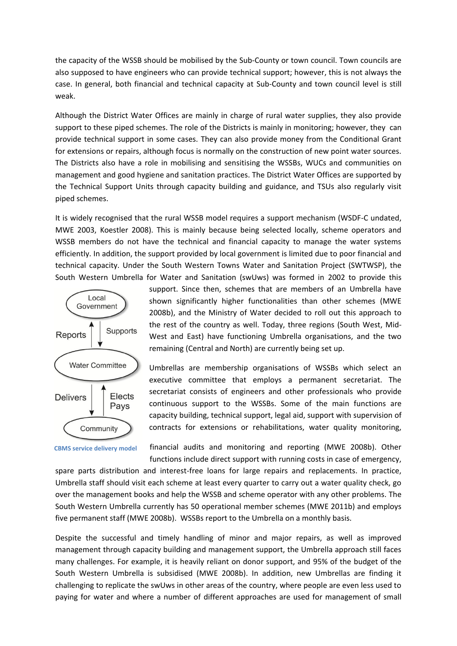the capacity of the WSSB should be mobilised by the Sub-County or town council. Town councils are also supposed to have engineers who can provide technical support; however, this is not always the case. In general, both financial and technical capacity at Sub-County and town council level is still weak.

Although the District Water Offices are mainly in charge of rural water supplies, they also provide support to these piped schemes. The role of the Districts is mainly in monitoring; however, they can provide technical support in some cases. They can also provide money from the Conditional Grant for extensions or repairs, although focus is normally on the construction of new point water sources. The Districts also have a role in mobilising and sensitising the WSSBs, WUCs and communities on management and good hygiene and sanitation practices. The District Water Offices are supported by the Technical Support Units through capacity building and guidance, and TSUs also regularly visit piped schemes.

It is widely recognised that the rural WSSB model requires a support mechanism (WSDF-C undated, MWE 2003, Koestler 2008). This is mainly because being selected locally, scheme operators and WSSB members do not have the technical and financial capacity to manage the water systems efficiently. In addition, the support provided by local government is limited due to poor financial and technical capacity. Under the South Western Towns Water and Sanitation Project (SWTWSP), the South Western Umbrella for Water and Sanitation (swUws) was formed in 2002 to provide this



**CBMS service delivery model**

support. Since then, schemes that are members of an Umbrella have shown significantly higher functionalities than other schemes (MWE 2008b), and the Ministry of Water decided to roll out this approach to the rest of the country as well. Today, three regions (South West, Mid-West and East) have functioning Umbrella organisations, and the two remaining (Central and North) are currently being set up.

Umbrellas are membership organisations of WSSBs which select an executive committee that employs a permanent secretariat. The secretariat consists of engineers and other professionals who provide continuous support to the WSSBs. Some of the main functions are capacity building, technical support, legal aid, support with supervision of contracts for extensions or rehabilitations, water quality monitoring,

financial audits and monitoring and reporting (MWE 2008b). Other functions include direct support with running costs in case of emergency,

spare parts distribution and interest-free loans for large repairs and replacements. In practice, Umbrella staff should visit each scheme at least every quarter to carry out a water quality check, go over the management books and help the WSSB and scheme operator with any other problems. The South Western Umbrella currently has 50 operational member schemes (MWE 2011b) and employs five permanent staff (MWE 2008b). WSSBs report to the Umbrella on a monthly basis.

Despite the successful and timely handling of minor and major repairs, as well as improved management through capacity building and management support, the Umbrella approach still faces many challenges. For example, it is heavily reliant on donor support, and 95% of the budget of the South Western Umbrella is subsidised (MWE 2008b). In addition, new Umbrellas are finding it challenging to replicate the swUws in other areas of the country, where people are even less used to paying for water and where a number of different approaches are used for management of small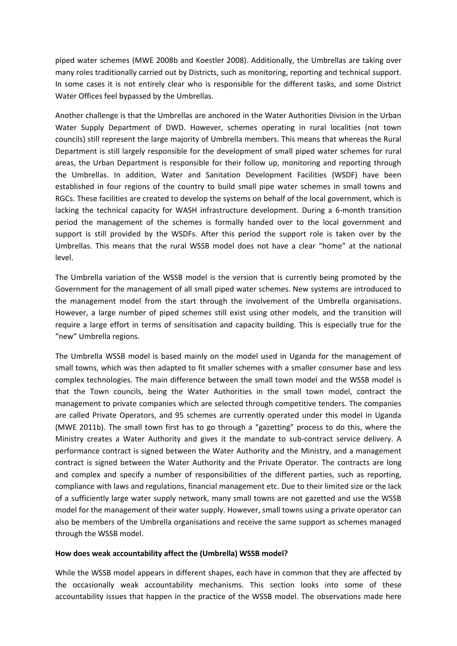piped water schemes (MWE 2008b and Koestler 2008). Additionally, the Umbrellas are taking over many roles traditionally carried out by Districts, such as monitoring, reporting and technical support. In some cases it is not entirely clear who is responsible for the different tasks, and some District Water Offices feel bypassed by the Umbrellas.

Another challenge is that the Umbrellas are anchored in the Water Authorities Division in the Urban Water Supply Department of DWD. However, schemes operating in rural localities (not town councils) still represent the large majority of Umbrella members. This means that whereas the Rural Department is still largely responsible for the development of small piped water schemes for rural areas, the Urban Department is responsible for their follow up, monitoring and reporting through the Umbrellas. In addition, Water and Sanitation Development Facilities (WSDF) have been established in four regions of the country to build small pipe water schemes in small towns and RGCs. These facilities are created to develop the systems on behalf of the local government, which is lacking the technical capacity for WASH infrastructure development. During a 6-month transition period the management of the schemes is formally handed over to the local government and support is still provided by the WSDFs. After this period the support role is taken over by the Umbrellas. This means that the rural WSSB model does not have a clear "home" at the national level.

The Umbrella variation of the WSSB model is the version that is currently being promoted by the Government for the management of all small piped water schemes. New systems are introduced to the management model from the start through the involvement of the Umbrella organisations. However, a large number of piped schemes still exist using other models, and the transition will require a large effort in terms of sensitisation and capacity building. This is especially true for the "new" Umbrella regions.

The Umbrella WSSB model is based mainly on the model used in Uganda for the management of small towns, which was then adapted to fit smaller schemes with a smaller consumer base and less complex technologies. The main difference between the small town model and the WSSB model is that the Town councils, being the Water Authorities in the small town model, contract the management to private companies which are selected through competitive tenders. The companies are called Private Operators, and 95 schemes are currently operated under this model in Uganda (MWE 2011b). The small town first has to go through a "gazetting" process to do this, where the Ministry creates a Water Authority and gives it the mandate to sub-contract service delivery. A performance contract is signed between the Water Authority and the Ministry, and a management contract is signed between the Water Authority and the Private Operator. The contracts are long and complex and specify a number of responsibilities of the different parties, such as reporting, compliance with laws and regulations, financial management etc. Due to their limited size or the lack of a sufficiently large water supply network, many small towns are not gazetted and use the WSSB model for the management of their water supply. However, small towns using a private operator can also be members of the Umbrella organisations and receive the same support as schemes managed through the WSSB model.

## **How does weak accountability affect the (Umbrella) WSSB model?**

While the WSSB model appears in different shapes, each have in common that they are affected by the occasionally weak accountability mechanisms. This section looks into some of these accountability issues that happen in the practice of the WSSB model. The observations made here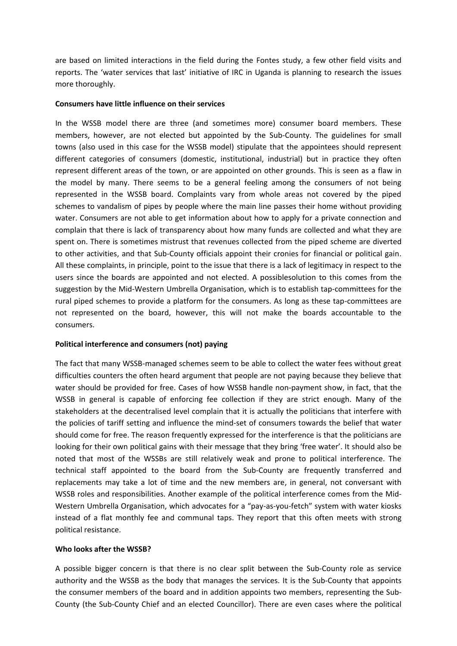are based on limited interactions in the field during the Fontes study, a few other field visits and reports. The 'water services that last' initiative of IRC in Uganda is planning to research the issues more thoroughly.

#### **Consumers have little influence on their services**

In the WSSB model there are three (and sometimes more) consumer board members. These members, however, are not elected but appointed by the Sub-County. The guidelines for small towns (also used in this case for the WSSB model) stipulate that the appointees should represent different categories of consumers (domestic, institutional, industrial) but in practice they often represent different areas of the town, or are appointed on other grounds. This is seen as a flaw in the model by many. There seems to be a general feeling among the consumers of not being represented in the WSSB board. Complaints vary from whole areas not covered by the piped schemes to vandalism of pipes by people where the main line passes their home without providing water. Consumers are not able to get information about how to apply for a private connection and complain that there is lack of transparency about how many funds are collected and what they are spent on. There is sometimes mistrust that revenues collected from the piped scheme are diverted to other activities, and that Sub-County officials appoint their cronies for financial or political gain. All these complaints, in principle, point to the issue that there is a lack of legitimacy in respect to the users since the boards are appointed and not elected. A possiblesolution to this comes from the suggestion by the Mid-Western Umbrella Organisation, which is to establish tap-committees for the rural piped schemes to provide a platform for the consumers. As long as these tap-committees are not represented on the board, however, this will not make the boards accountable to the consumers.

## **Political interference and consumers (not) paying**

The fact that many WSSB-managed schemes seem to be able to collect the water fees without great difficulties counters the often heard argument that people are not paying because they believe that water should be provided for free. Cases of how WSSB handle non-payment show, in fact, that the WSSB in general is capable of enforcing fee collection if they are strict enough. Many of the stakeholders at the decentralised level complain that it is actually the politicians that interfere with the policies of tariff setting and influence the mind-set of consumers towards the belief that water should come for free. The reason frequently expressed for the interference is that the politicians are looking for their own political gains with their message that they bring 'free water'. It should also be noted that most of the WSSBs are still relatively weak and prone to political interference. The technical staff appointed to the board from the Sub-County are frequently transferred and replacements may take a lot of time and the new members are, in general, not conversant with WSSB roles and responsibilities. Another example of the political interference comes from the Mid-Western Umbrella Organisation, which advocates for a "pay-as-you-fetch" system with water kiosks instead of a flat monthly fee and communal taps. They report that this often meets with strong political resistance.

#### **Who looks after the WSSB?**

A possible bigger concern is that there is no clear split between the Sub-County role as service authority and the WSSB as the body that manages the services. It is the Sub-County that appoints the consumer members of the board and in addition appoints two members, representing the Sub-County (the Sub-County Chief and an elected Councillor). There are even cases where the political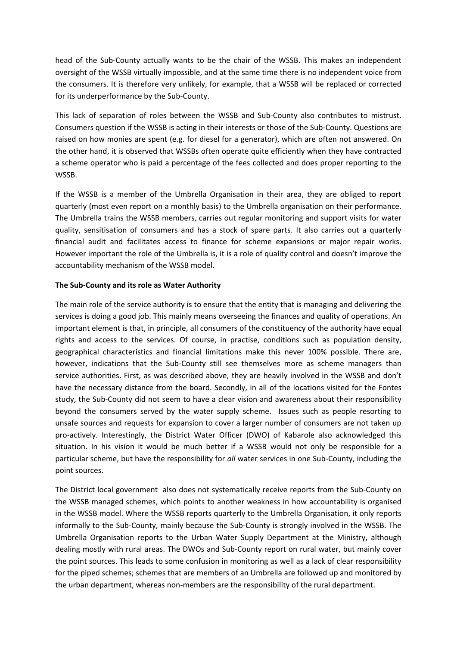head of the Sub-County actually wants to be the chair of the WSSB. This makes an independent oversight of the WSSB virtually impossible, and at the same time there is no independent voice from the consumers. It is therefore very unlikely, for example, that a WSSB will be replaced or corrected for its underperformance by the Sub-County.

This lack of separation of roles between the WSSB and Sub-County also contributes to mistrust. Consumers question if the WSSB is acting in their interests or those of the Sub-County. Questions are raised on how monies are spent (e.g. for diesel for a generator), which are often not answered. On the other hand, it is observed that WSSBs often operate quite efficiently when they have contracted a scheme operator who is paid a percentage of the fees collected and does proper reporting to the WSSB.

If the WSSB is a member of the Umbrella Organisation in their area, they are obliged to report quarterly (most even report on a monthly basis) to the Umbrella organisation on their performance. The Umbrella trains the WSSB members, carries out regular monitoring and support visits for water quality, sensitisation of consumers and has a stock of spare parts. It also carries out a quarterly financial audit and facilitates access to finance for scheme expansions or major repair works. However important the role of the Umbrella is, it is a role of quality control and doesn't improve the accountability mechanism of the WSSB model.

## **The Sub-County and its role as Water Authority**

The main role of the service authority is to ensure that the entity that is managing and delivering the services is doing a good job. This mainly means overseeing the finances and quality of operations. An important element is that, in principle, all consumers of the constituency of the authority have equal rights and access to the services. Of course, in practise, conditions such as population density, geographical characteristics and financial limitations make this never 100% possible. There are, however, indications that the Sub-County still see themselves more as scheme managers than service authorities. First, as was described above, they are heavily involved in the WSSB and don't have the necessary distance from the board. Secondly, in all of the locations visited for the Fontes study, the Sub-County did not seem to have a clear vision and awareness about their responsibility beyond the consumers served by the water supply scheme. Issues such as people resorting to unsafe sources and requests for expansion to cover a larger number of consumers are not taken up pro-actively. Interestingly, the District Water Officer (DWO) of Kabarole also acknowledged this situation. In his vision it would be much better if a WSSB would not only be responsible for a particular scheme, but have the responsibility for *all* water services in one Sub-County, including the point sources.

The District local government also does not systematically receive reports from the Sub-County on the WSSB managed schemes, which points to another weakness in how accountability is organised in the WSSB model. Where the WSSB reports quarterly to the Umbrella Organisation, it only reports informally to the Sub-County, mainly because the Sub-County is strongly involved in the WSSB. The Umbrella Organisation reports to the Urban Water Supply Department at the Ministry, although dealing mostly with rural areas. The DWOs and Sub-County report on rural water, but mainly cover the point sources. This leads to some confusion in monitoring as well as a lack of clear responsibility for the piped schemes; schemes that are members of an Umbrella are followed up and monitored by the urban department, whereas non-members are the responsibility of the rural department.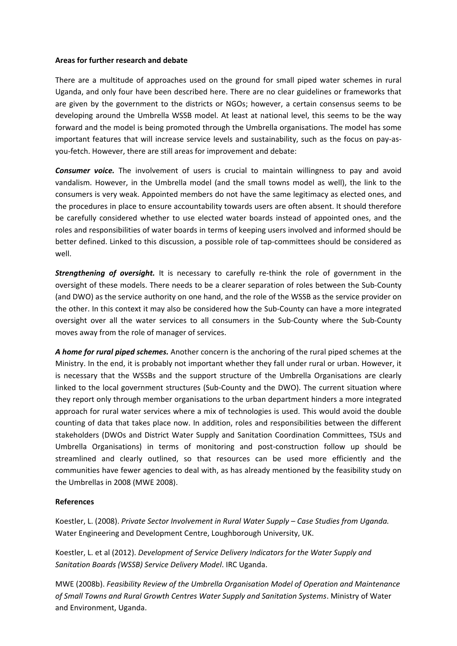#### **Areas for further research and debate**

There are a multitude of approaches used on the ground for small piped water schemes in rural Uganda, and only four have been described here. There are no clear guidelines or frameworks that are given by the government to the districts or NGOs; however, a certain consensus seems to be developing around the Umbrella WSSB model. At least at national level, this seems to be the way forward and the model is being promoted through the Umbrella organisations. The model has some important features that will increase service levels and sustainability, such as the focus on pay-asyou-fetch. However, there are still areas for improvement and debate:

*Consumer voice.* The involvement of users is crucial to maintain willingness to pay and avoid vandalism. However, in the Umbrella model (and the small towns model as well), the link to the consumers is very weak. Appointed members do not have the same legitimacy as elected ones, and the procedures in place to ensure accountability towards users are often absent. It should therefore be carefully considered whether to use elected water boards instead of appointed ones, and the roles and responsibilities of water boards in terms of keeping users involved and informed should be better defined. Linked to this discussion, a possible role of tap-committees should be considered as well.

*Strengthening of oversight.* It is necessary to carefully re-think the role of government in the oversight of these models. There needs to be a clearer separation of roles between the Sub-County (and DWO) as the service authority on one hand, and the role of the WSSB as the service provider on the other. In this context it may also be considered how the Sub-County can have a more integrated oversight over all the water services to all consumers in the Sub-County where the Sub-County moves away from the role of manager of services.

*A home for rural piped schemes.* Another concern is the anchoring of the rural piped schemes at the Ministry. In the end, it is probably not important whether they fall under rural or urban. However, it is necessary that the WSSBs and the support structure of the Umbrella Organisations are clearly linked to the local government structures (Sub-County and the DWO). The current situation where they report only through member organisations to the urban department hinders a more integrated approach for rural water services where a mix of technologies is used. This would avoid the double counting of data that takes place now. In addition, roles and responsibilities between the different stakeholders (DWOs and District Water Supply and Sanitation Coordination Committees, TSUs and Umbrella Organisations) in terms of monitoring and post-construction follow up should be streamlined and clearly outlined, so that resources can be used more efficiently and the communities have fewer agencies to deal with, as has already mentioned by the feasibility study on the Umbrellas in 2008 (MWE 2008).

## **References**

Koestler, L. (2008). *Private Sector Involvement in Rural Water Supply – Case Studies from Uganda.* Water Engineering and Development Centre, Loughborough University, UK.

Koestler, L. et al (2012). *Development of Service Delivery Indicators for the Water Supply and Sanitation Boards (WSSB) Service Delivery Model*. IRC Uganda.

MWE (2008b). *Feasibility Review of the Umbrella Organisation Model of Operation and Maintenance of Small Towns and Rural Growth Centres Water Supply and Sanitation Systems*. Ministry of Water and Environment, Uganda.